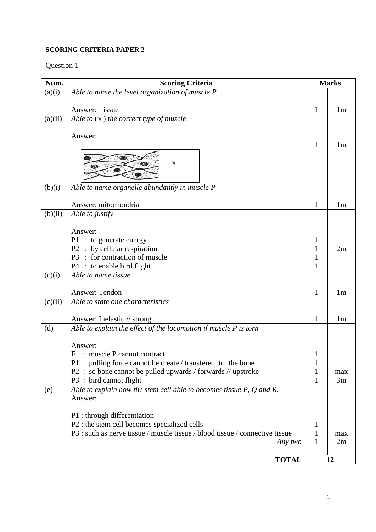#### **SCORING CRITERIA PAPER 2**

| Num.    | <b>Scoring Criteria</b>                                                      | <b>Marks</b> |                |
|---------|------------------------------------------------------------------------------|--------------|----------------|
| (a)(i)  | Able to name the level organization of muscle P                              |              |                |
|         |                                                                              |              |                |
|         | <b>Answer: Tissue</b>                                                        | 1            | 1 <sub>m</sub> |
| (a)(ii) | Able to $(\sqrt{})$ the correct type of muscle                               |              |                |
|         |                                                                              |              |                |
|         | Answer:                                                                      |              |                |
|         |                                                                              | 1            | 1 <sub>m</sub> |
|         |                                                                              |              |                |
|         | V<br>60D                                                                     |              |                |
|         |                                                                              |              |                |
| (b)(i)  | Able to name organelle abundantly in muscle P                                |              |                |
|         |                                                                              |              |                |
|         | Answer: mitochondria                                                         | 1            | 1 <sub>m</sub> |
| (b)(ii) | Able to justify                                                              |              |                |
|         |                                                                              |              |                |
|         | Answer:                                                                      |              |                |
|         | $P1$ : to generate energy                                                    | 1            |                |
|         | P2 : by cellular respiration                                                 | 1            | 2m             |
|         | : for contraction of muscle<br>P <sub>3</sub>                                | 1            |                |
|         | : to enable bird flight<br>P4                                                | 1            |                |
| (c)(i)  | Able to name tissue                                                          |              |                |
|         |                                                                              |              |                |
|         | Answer: Tendon                                                               | 1            | 1 <sub>m</sub> |
| (c)(ii) | Able to state one characteristics                                            |              |                |
|         |                                                                              |              |                |
|         | Answer: Inelastic // strong                                                  | 1            | 1 <sub>m</sub> |
| (d)     | Able to explain the effect of the locomotion if muscle P is torn             |              |                |
|         | Answer:                                                                      |              |                |
|         | : muscle P cannot contract<br>F                                              | 1            |                |
|         | P1 : pulling force cannot be create / transfered to the bone                 | 1            |                |
|         | P2 : so bone cannot be pulled upwards / forwards // upstroke                 | 1            | max            |
|         | P3 : bird cannot flight                                                      | 1            | 3m             |
| (e)     | Able to explain how the stem cell able to becomes tissue $P$ , $Q$ and $R$ . |              |                |
|         | Answer:                                                                      |              |                |
|         |                                                                              |              |                |
|         | P1 : through differentiation                                                 |              |                |
|         | P2 : the stem cell becomes specialized cells                                 | $\mathbf{1}$ |                |
|         | P3 : such as nerve tissue / muscle tissue / blood tissue / connective tissue | 1            | max            |
|         | Any two                                                                      | 1            | 2m             |
|         |                                                                              |              |                |
|         | <b>TOTAL</b>                                                                 |              | 12             |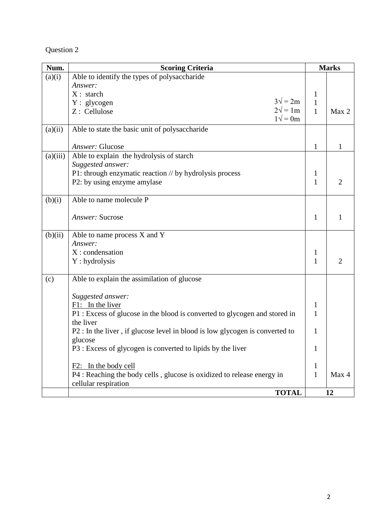| Num.     | <b>Scoring Criteria</b>                                                      |              | <b>Marks</b>   |
|----------|------------------------------------------------------------------------------|--------------|----------------|
| (a)(i)   | Able to identify the types of polysaccharide                                 |              |                |
|          | Answer:                                                                      |              |                |
|          | $X:$ starch                                                                  | $\mathbf{1}$ |                |
|          | $3\sqrt{ }=2m$<br>$Y:$ glycogen                                              | $\mathbf{1}$ |                |
|          | $2\sqrt{ }=1m$<br>Z: Cellulose<br>$1\sqrt{ }=0m$                             | $\mathbf{1}$ | Max 2          |
| (a)(ii)  | Able to state the basic unit of polysaccharide                               |              |                |
|          |                                                                              |              |                |
|          | Answer: Glucose                                                              | $\mathbf{1}$ | 1              |
| (a)(iii) | Able to explain the hydrolysis of starch                                     |              |                |
|          | Suggested answer:                                                            |              |                |
|          | P1: through enzymatic reaction // by hydrolysis process                      | 1            |                |
|          | P2: by using enzyme amylase                                                  | $\mathbf{1}$ | $\overline{2}$ |
|          |                                                                              |              |                |
| (b)(i)   | Able to name molecule P                                                      |              |                |
|          |                                                                              |              |                |
|          | Answer: Sucrose                                                              | $\mathbf{1}$ | 1              |
|          |                                                                              |              |                |
| (b)(ii)  | Able to name process $\overline{X}$ and $\overline{Y}$                       |              |                |
|          | Answer:                                                                      |              |                |
|          | X: condensation                                                              | $\mathbf 1$  |                |
|          | Y: hydrolysis                                                                | $\mathbf{1}$ | $\overline{2}$ |
| (c)      | Able to explain the assimilation of glucose                                  |              |                |
|          |                                                                              |              |                |
|          | Suggested answer:                                                            |              |                |
|          | $F1:$ In the liver                                                           | 1            |                |
|          | P1 : Excess of glucose in the blood is converted to glycogen and stored in   | 1            |                |
|          | the liver                                                                    |              |                |
|          | P2 : In the liver, if glucose level in blood is low glycogen is converted to | $\mathbf{1}$ |                |
|          | glucose                                                                      |              |                |
|          | P3 : Excess of glycogen is converted to lipids by the liver                  | 1            |                |
|          | F2: In the body cell                                                         | $\mathbf{1}$ |                |
|          | P4 : Reaching the body cells, glucose is oxidized to release energy in       | $\mathbf{1}$ | Max 4          |
|          | cellular respiration                                                         |              |                |
|          | <b>TOTAL</b>                                                                 |              | 12             |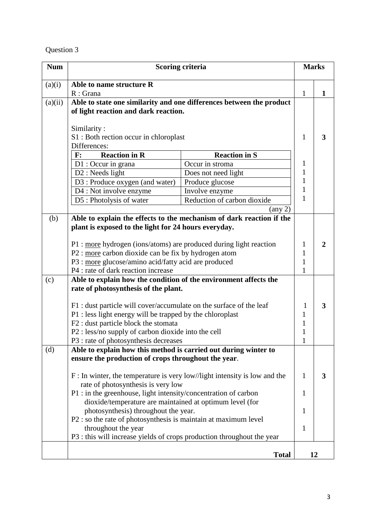| <b>Num</b> |                                                                                                          | Scoring criteria                                                     | <b>Marks</b>                 |    |
|------------|----------------------------------------------------------------------------------------------------------|----------------------------------------------------------------------|------------------------------|----|
| (a)(i)     | Able to name structure R                                                                                 |                                                                      |                              |    |
|            | $R:$ Grana                                                                                               |                                                                      | 1                            | 1  |
| (a)(ii)    |                                                                                                          | Able to state one similarity and one differences between the product |                              |    |
|            | of light reaction and dark reaction.                                                                     |                                                                      |                              |    |
|            |                                                                                                          |                                                                      |                              |    |
|            | Similarity:                                                                                              |                                                                      |                              |    |
|            | S1 : Both rection occur in chloroplast                                                                   |                                                                      | 1                            | 3  |
|            | Differences:                                                                                             |                                                                      |                              |    |
|            | <b>Reaction in R</b><br>$\mathbf{F}$ :                                                                   | <b>Reaction in S</b>                                                 |                              |    |
|            | $D1:$ Occur in grana                                                                                     | Occur in stroma                                                      | $\mathbf{1}$                 |    |
|            | $D2:$ Needs light                                                                                        | Does not need light                                                  | $\mathbf{1}$                 |    |
|            | D3 : Produce oxygen (and water)                                                                          | Produce glucose                                                      | $\mathbf{1}$                 |    |
|            | D4 : Not involve enzyme                                                                                  | Involve enzyme                                                       | $\mathbf{1}$                 |    |
|            | D5: Photolysis of water                                                                                  | Reduction of carbon dioxide                                          | 1                            |    |
|            |                                                                                                          | $\left( \text{any } 2 \right)$                                       |                              |    |
| (b)        |                                                                                                          | Able to explain the effects to the mechanism of dark reaction if the |                              |    |
|            | plant is exposed to the light for 24 hours everyday.                                                     |                                                                      |                              |    |
|            | P1 : more hydrogen (ions/atoms) are produced during light reaction                                       |                                                                      |                              |    |
|            |                                                                                                          |                                                                      | $\mathbf{1}$<br>$\mathbf{1}$ | 2  |
|            | P2 : more carbon dioxide can be fix by hydrogen atom                                                     |                                                                      |                              |    |
|            | P3 : more glucose/amino acid/fatty acid are produced<br>P4 : rate of dark reaction increase              |                                                                      |                              |    |
|            |                                                                                                          |                                                                      | 1                            |    |
| (c)        | Able to explain how the condition of the environment affects the<br>rate of photosynthesis of the plant. |                                                                      |                              |    |
|            |                                                                                                          |                                                                      |                              |    |
|            | F1 : dust particle will cover/accumulate on the surface of the leaf                                      |                                                                      | 1                            | 3  |
|            |                                                                                                          |                                                                      | 1                            |    |
|            | P1 : less light energy will be trapped by the chloroplast<br>F2 : dust particle block the stomata        |                                                                      | 1                            |    |
|            | P2 : less/no supply of carbon dioxide into the cell                                                      |                                                                      | 1                            |    |
|            | P3 : rate of photosynthesis decreases                                                                    |                                                                      | $\mathbf{1}$                 |    |
| (d)        | Able to explain how this method is carried out during winter to                                          |                                                                      |                              |    |
|            | ensure the production of crops throughout the year.                                                      |                                                                      |                              |    |
|            |                                                                                                          |                                                                      |                              |    |
|            | $F:$ In winter, the temperature is very low//light intensity is low and the                              |                                                                      | 1                            | 3  |
|            | rate of photosynthesis is very low                                                                       |                                                                      |                              |    |
|            | P1 : in the greenhouse, light intensity/concentration of carbon                                          |                                                                      | 1                            |    |
|            | dioxide/temperature are maintained at optimum level (for                                                 |                                                                      |                              |    |
|            | photosynthesis) throughout the year.                                                                     |                                                                      | 1                            |    |
|            | P2 : so the rate of photosynthesis is maintain at maximum level                                          |                                                                      |                              |    |
|            | throughout the year                                                                                      |                                                                      | 1                            |    |
|            | P3 : this will increase yields of crops production throughout the year                                   |                                                                      |                              |    |
|            |                                                                                                          |                                                                      |                              |    |
|            |                                                                                                          | <b>Total</b>                                                         |                              | 12 |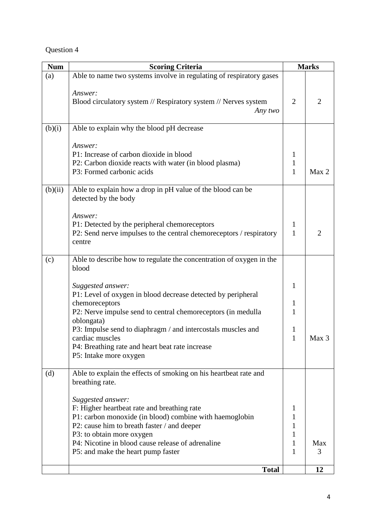| <b>Num</b> | <b>Scoring Criteria</b>                                                                                                                                                                                                                                                                            | <b>Marks</b>                      |                |
|------------|----------------------------------------------------------------------------------------------------------------------------------------------------------------------------------------------------------------------------------------------------------------------------------------------------|-----------------------------------|----------------|
| (a)        | Able to name two systems involve in regulating of respiratory gases                                                                                                                                                                                                                                |                                   |                |
|            | Answer:<br>Blood circulatory system // Respiratory system // Nerves system<br>Any two                                                                                                                                                                                                              | $\overline{2}$                    | 2              |
| (b)(i)     | Able to explain why the blood pH decrease                                                                                                                                                                                                                                                          |                                   |                |
|            | Answer:<br>P1: Increase of carbon dioxide in blood<br>P2: Carbon dioxide reacts with water (in blood plasma)<br>P3: Formed carbonic acids                                                                                                                                                          | $\mathbf{1}$<br>1<br>$\mathbf{1}$ | Max 2          |
| (b)(ii)    | Able to explain how a drop in pH value of the blood can be<br>detected by the body                                                                                                                                                                                                                 |                                   |                |
|            | Answer:<br>P1: Detected by the peripheral chemoreceptors<br>P2: Send nerve impulses to the central chemoreceptors / respiratory<br>centre                                                                                                                                                          | $\mathbf{1}$<br>1                 | $\overline{2}$ |
| (c)        | Able to describe how to regulate the concentration of oxygen in the<br>blood                                                                                                                                                                                                                       |                                   |                |
|            | Suggested answer:<br>P1: Level of oxygen in blood decrease detected by peripheral<br>chemoreceptors<br>P2: Nerve impulse send to central chemoreceptors (in medulla<br>oblongata)                                                                                                                  | 1<br>$\mathbf{1}$<br>1            |                |
|            | P3: Impulse send to diaphragm / and intercostals muscles and<br>cardiac muscles<br>P4: Breathing rate and heart beat rate increase<br>P5: Intake more oxygen                                                                                                                                       | 1<br>1                            | Max 3          |
| (d)        | Able to explain the effects of smoking on his heartbeat rate and<br>breathing rate.                                                                                                                                                                                                                |                                   |                |
|            | Suggested answer:<br>F: Higher heartbeat rate and breathing rate<br>P1: carbon monoxide (in blood) combine with haemoglobin<br>P2: cause him to breath faster / and deeper<br>P3: to obtain more oxygen<br>P4: Nicotine in blood cause release of adrenaline<br>P5: and make the heart pump faster | 1<br>1<br>1<br>1<br>1<br>1        | Max<br>3       |
|            | <b>Total</b>                                                                                                                                                                                                                                                                                       |                                   | 12             |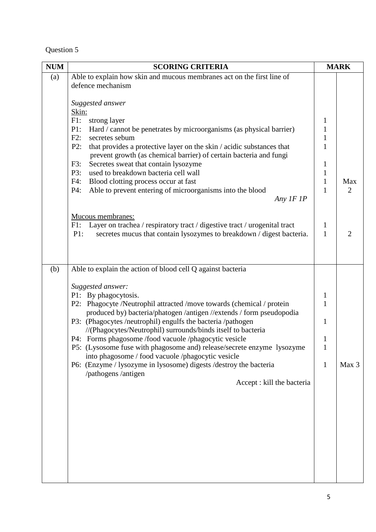| <b>NUM</b> | <b>SCORING CRITERIA</b>                                                                                               |              | <b>MARK</b>    |
|------------|-----------------------------------------------------------------------------------------------------------------------|--------------|----------------|
| (a)        | Able to explain how skin and mucous membranes act on the first line of                                                |              |                |
|            | defence mechanism                                                                                                     |              |                |
|            |                                                                                                                       |              |                |
|            | Suggested answer                                                                                                      |              |                |
|            | Skin:                                                                                                                 |              |                |
|            | $F1$ :<br>strong layer<br>P1:                                                                                         | 1<br>1       |                |
|            | Hard / cannot be penetrates by microorganisms (as physical barrier)<br>F2:<br>secretes sebum                          | $\mathbf{1}$ |                |
|            | P2:<br>that provides a protective layer on the skin / acidic substances that                                          | $\mathbf{1}$ |                |
|            | prevent growth (as chemical barrier) of certain bacteria and fungi                                                    |              |                |
|            | Secretes sweat that contain lysozyme<br>F3:                                                                           | $\mathbf{1}$ |                |
|            | used to breakdown bacteria cell wall<br>P3:                                                                           | 1            |                |
|            | F4:<br>Blood clotting process occur at fast                                                                           | 1            | Max            |
|            | P4:<br>Able to prevent entering of microorganisms into the blood                                                      | $\mathbf{1}$ | $\overline{2}$ |
|            | Any IF 1P                                                                                                             |              |                |
|            |                                                                                                                       |              |                |
|            | Mucous membranes:                                                                                                     |              |                |
|            | Layer on trachea / respiratory tract / digestive tract / urogenital tract<br>F1:                                      | $\mathbf{1}$ | $\overline{2}$ |
|            | P1:<br>secretes mucus that contain lysozymes to breakdown / digest bacteria.                                          | $\mathbf{1}$ |                |
|            |                                                                                                                       |              |                |
|            |                                                                                                                       |              |                |
| (b)        | Able to explain the action of blood cell Q against bacteria                                                           |              |                |
|            |                                                                                                                       |              |                |
|            | Suggested answer:                                                                                                     |              |                |
|            | P1: By phagocytosis.                                                                                                  | $\mathbf{1}$ |                |
|            | P2: Phagocyte /Neutrophil attracted /move towards (chemical / protein                                                 | 1            |                |
|            | produced by) bacteria/phatogen /antigen //extends / form pseudopodia                                                  |              |                |
|            | P3: (Phagocytes /neutrophil) engulfs the bacteria /pathogen                                                           | 1            |                |
|            | //(Phagocytes/Neutrophil) surrounds/binds itself to bacteria<br>P4: Forms phagosome /food vacuole /phagocytic vesicle | 1            |                |
|            | P5: (Lysosome fuse with phagosome and) release/secrete enzyme lysozyme                                                | 1            |                |
|            | into phagosome / food vacuole /phagocytic vesicle                                                                     |              |                |
|            | P6: (Enzyme / lysozyme in lysosome) digests / destroy the bacteria                                                    | $\mathbf{1}$ | Max 3          |
|            | /pathogens /antigen                                                                                                   |              |                |
|            | Accept : kill the bacteria                                                                                            |              |                |
|            |                                                                                                                       |              |                |
|            |                                                                                                                       |              |                |
|            |                                                                                                                       |              |                |
|            |                                                                                                                       |              |                |
|            |                                                                                                                       |              |                |
|            |                                                                                                                       |              |                |
|            |                                                                                                                       |              |                |
|            |                                                                                                                       |              |                |
|            |                                                                                                                       |              |                |
|            |                                                                                                                       |              |                |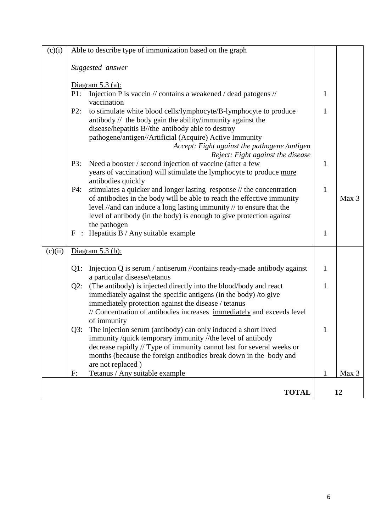| (c)(i)  | Able to describe type of immunization based on the graph                                                                                     |              |                  |
|---------|----------------------------------------------------------------------------------------------------------------------------------------------|--------------|------------------|
|         | Suggested answer                                                                                                                             |              |                  |
|         | Diagram $5.3$ (a):                                                                                                                           |              |                  |
|         | P1:<br>Injection P is vaccin // contains a weakened / dead patogens //                                                                       | $\mathbf{1}$ |                  |
|         | vaccination<br>to stimulate white blood cells/lymphocyte/B-lymphocyte to produce<br>P2:                                                      | $\mathbf{1}$ |                  |
|         | antibody // the body gain the ability/immunity against the                                                                                   |              |                  |
|         | disease/hepatitis B//the antibody able to destroy                                                                                            |              |                  |
|         | pathogene/antigen//Artificial (Acquire) Active Immunity                                                                                      |              |                  |
|         | Accept: Fight against the pathogene /antigen<br>Reject: Fight against the disease                                                            |              |                  |
|         | P3:<br>Need a booster / second injection of vaccine (after a few                                                                             | $\mathbf{1}$ |                  |
|         | years of vaccination) will stimulate the lymphocyte to produce more<br>antibodies quickly                                                    |              |                  |
|         | stimulates a quicker and longer lasting response // the concentration<br>P4:                                                                 | $\mathbf{1}$ |                  |
|         | of antibodies in the body will be able to reach the effective immunity                                                                       |              | Max <sub>3</sub> |
|         | level //and can induce a long lasting immunity // to ensure that the<br>level of antibody (in the body) is enough to give protection against |              |                  |
|         | the pathogen                                                                                                                                 |              |                  |
|         | $F$ : Hepatitis B / Any suitable example                                                                                                     | $\mathbf{1}$ |                  |
| (c)(ii) | Diagram $5.3$ (b):                                                                                                                           |              |                  |
|         | Injection Q is serum / antiserum //contains ready-made antibody against<br>$Q1$ :<br>a particular disease/tetanus                            | $\mathbf{1}$ |                  |
|         | (The antibody) is injected directly into the blood/body and react<br>$Q2$ :                                                                  | 1            |                  |
|         | immediately against the specific antigens (in the body) /to give                                                                             |              |                  |
|         | immediately protection against the disease / tetanus<br>// Concentration of antibodies increases immediately and exceeds level               |              |                  |
|         | of immunity                                                                                                                                  |              |                  |
|         | $Q3$ :<br>The injection serum (antibody) can only induced a short lived                                                                      | 1            |                  |
|         | immunity /quick temporary immunity //the level of antibody                                                                                   |              |                  |
|         | decrease rapidly // Type of immunity cannot last for several weeks or<br>months (because the foreign antibodies break down in the body and   |              |                  |
|         | are not replaced)                                                                                                                            |              |                  |
|         | Tetanus / Any suitable example<br>F:                                                                                                         | 1            | Max 3            |
|         | <b>TOTAL</b>                                                                                                                                 |              | 12               |
|         |                                                                                                                                              |              |                  |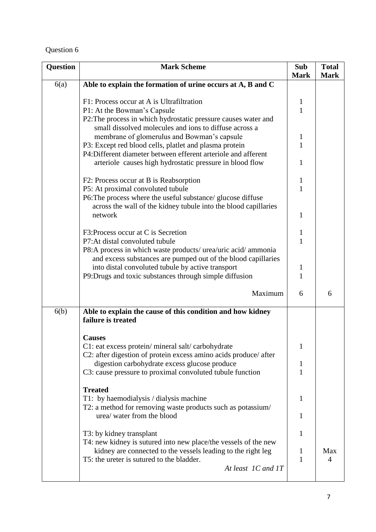| <b>Question</b> | <b>Mark Scheme</b>                                                                                                                                                                                                                                                                                                                                                             | <b>Sub</b>                  | <b>Total</b> |
|-----------------|--------------------------------------------------------------------------------------------------------------------------------------------------------------------------------------------------------------------------------------------------------------------------------------------------------------------------------------------------------------------------------|-----------------------------|--------------|
| 6(a)            | Able to explain the formation of urine occurs at A, B and C                                                                                                                                                                                                                                                                                                                    | <b>Mark</b>                 | <b>Mark</b>  |
|                 | F1: Process occur at A is Ultrafiltration<br>P1: At the Bowman's Capsule<br>P2: The process in which hydrostatic pressure causes water and<br>small dissolved molecules and ions to diffuse across a<br>membrane of glomerulus and Bowman's capsule<br>P3: Except red blood cells, platlet and plasma protein<br>P4:Different diameter between efferent arteriole and afferent | 1<br>$\mathbf{1}$<br>1<br>1 |              |
|                 | arteriole causes high hydrostatic pressure in blood flow<br>F2: Process occur at B is Reabsorption<br>P5: At proximal convoluted tubule<br>P6: The process where the useful substance/ glucose diffuse<br>across the wall of the kidney tubule into the blood capillaries<br>network                                                                                           | 1<br>1<br>$\mathbf{1}$<br>1 |              |
|                 | F3: Process occur at C is Secretion<br>P7: At distal convoluted tubule<br>P8:A process in which waste products/ urea/uric acid/ ammonia<br>and excess substances are pumped out of the blood capillaries                                                                                                                                                                       | 1<br>1                      |              |
|                 | into distal convoluted tubule by active transport<br>P9:Drugs and toxic substances through simple diffusion                                                                                                                                                                                                                                                                    | 1<br>$\mathbf{1}$           |              |
|                 | Maximum                                                                                                                                                                                                                                                                                                                                                                        | 6                           | 6            |
| 6(b)            | Able to explain the cause of this condition and how kidney<br>failure is treated                                                                                                                                                                                                                                                                                               |                             |              |
|                 | <b>Causes</b><br>C1: eat excess protein/ mineral salt/ carbohydrate<br>C2: after digestion of protein excess amino acids produce/ after<br>digestion carbohydrate excess glucose produce<br>C3: cause pressure to proximal convoluted tubule function                                                                                                                          | 1<br>$\mathbf{I}$<br>1      |              |
|                 | <b>Treated</b><br>T1: by haemodialysis / dialysis machine<br>T2: a method for removing waste products such as potassium/<br>urea/ water from the blood                                                                                                                                                                                                                         | 1<br>1                      |              |
|                 | T3: by kidney transplant<br>T4: new kidney is sutured into new place/the vessels of the new<br>kidney are connected to the vessels leading to the right leg<br>T5: the ureter is sutured to the bladder.<br>At least 1C and 1T                                                                                                                                                 | 1<br>1<br>1                 | Max<br>4     |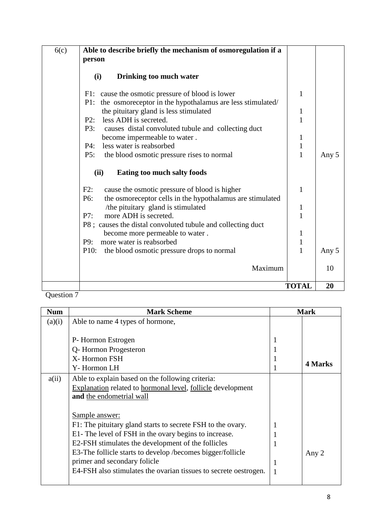| 6(c)<br>Able to describe briefly the mechanism of osmoregulation if a<br>person                                          |              |       |
|--------------------------------------------------------------------------------------------------------------------------|--------------|-------|
| (i)<br>Drinking too much water                                                                                           |              |       |
| F1: cause the osmotic pressure of blood is lower<br>P1: the osmoreceptor in the hypothalamus are less stimulated/        | 1            |       |
| the pituitary gland is less stimulated<br>less ADH is secreted.<br>P2:                                                   | $\mathbf 1$  |       |
| P3:<br>causes distal convoluted tubule and collecting duct<br>become impermeable to water.                               | 1            |       |
| less water is reabsorbed<br>P4:<br>P5:<br>the blood osmotic pressure rises to normal                                     | $\mathbf{1}$ | Any 5 |
| (ii)<br>Eating too much salty foods                                                                                      |              |       |
| cause the osmotic pressure of blood is higher<br>F2:<br>the osmoreceptor cells in the hypothalamus are stimulated<br>P6: | 1            |       |
| /the pituitary gland is stimulated<br>more ADH is secreted.<br>P7:                                                       | 1<br>1       |       |
| P8; causes the distal convoluted tubule and collecting duct<br>become more permeable to water.                           | 1            |       |
| more water is reabsorbed<br>P9:<br>P <sub>10</sub> :<br>the blood osmotic pressure drops to normal                       | $\mathbf{1}$ | Any 5 |
|                                                                                                                          | Maximum      | 10    |
|                                                                                                                          | <b>TOTAL</b> | 20    |

| <b>Num</b> | <b>Mark Scheme</b>                                               |   | <b>Mark</b> |
|------------|------------------------------------------------------------------|---|-------------|
| (a)(i)     | Able to name 4 types of hormone,                                 |   |             |
|            |                                                                  |   |             |
|            | P-Hormon Estrogen                                                |   |             |
|            | Q-Hormon Progesteron                                             |   |             |
|            | X-Hormon FSH                                                     |   |             |
|            | Y-Hormon LH                                                      |   | 4 Marks     |
| a(ii)      | Able to explain based on the following criteria:                 |   |             |
|            | Explanation related to hormonal level, follicle development      |   |             |
|            | and the endometrial wall                                         |   |             |
|            |                                                                  |   |             |
|            | Sample answer:                                                   |   |             |
|            | F1: The pituitary gland starts to secrete FSH to the ovary.      | 1 |             |
|            | E1- The level of FSH in the ovary begins to increase.            |   |             |
|            | E2-FSH stimulates the development of the follicles               |   |             |
|            | E3-The follicle starts to develop /becomes bigger/follicle       |   | Any 2       |
|            | primer and secondary folicle                                     | 1 |             |
|            | E4-FSH also stimulates the ovarian tissues to secrete oestrogen. | 1 |             |
|            |                                                                  |   |             |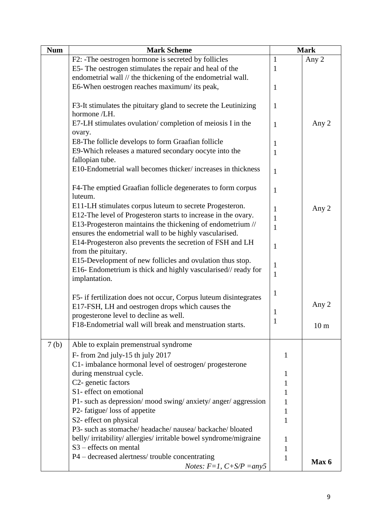| <b>Num</b>       | <b>Mark Scheme</b>                                                                                                         |              | <b>Mark</b>     |
|------------------|----------------------------------------------------------------------------------------------------------------------------|--------------|-----------------|
|                  | F2: -The oestrogen hormone is secreted by follicles                                                                        | $\mathbf{1}$ | Any 2           |
|                  | E5- The oestrogen stimulates the repair and heal of the                                                                    | 1            |                 |
|                  | endometrial wall // the thickening of the endometrial wall.                                                                |              |                 |
|                  | E6-When oestrogen reaches maximum/ its peak,                                                                               | 1            |                 |
|                  | F3-It stimulates the pituitary gland to secrete the Leutinizing<br>hormone /LH.                                            | $\mathbf{1}$ |                 |
|                  | E7-LH stimulates ovulation/completion of meiosis I in the<br>ovary.                                                        | 1            | Any 2           |
|                  | E8-The follicle develops to form Graafian follicle                                                                         | 1            |                 |
|                  | E9-Which releases a matured secondary oocyte into the                                                                      | 1            |                 |
|                  | fallopian tube.                                                                                                            |              |                 |
|                  | E10-Endometrial wall becomes thicker/increases in thickness                                                                | $\mathbf{1}$ |                 |
|                  | F4-The emptied Graafian follicle degenerates to form corpus<br>luteum.                                                     | 1            |                 |
|                  | E11-LH stimulates corpus luteum to secrete Progesteron.                                                                    | 1            | Any 2           |
|                  | E12-The level of Progesteron starts to increase in the ovary.                                                              | $\mathbf{1}$ |                 |
|                  | E13-Progesteron maintains the thickening of endometrium //                                                                 | $\mathbf{1}$ |                 |
|                  | ensures the endometrial wall to be highly vascularised.                                                                    |              |                 |
|                  | E14-Progesteron also prevents the secretion of FSH and LH                                                                  | $\mathbf{1}$ |                 |
|                  | from the pituitary.                                                                                                        |              |                 |
|                  | E15-Development of new follicles and ovulation thus stop.<br>E16- Endometrium is thick and highly vascularised// ready for | $\mathbf{1}$ |                 |
|                  | implantation.                                                                                                              | 1            |                 |
|                  |                                                                                                                            |              |                 |
|                  | F5- if fertilization does not occur, Corpus luteum disintegrates                                                           | $\mathbf{1}$ |                 |
|                  | E17-FSH, LH and oestrogen drops which causes the                                                                           | $\mathbf{1}$ | Any 2           |
|                  | progesterone level to decline as well.                                                                                     | $\mathbf{1}$ |                 |
|                  | F18-Endometrial wall will break and menstruation starts.                                                                   |              | 10 <sub>m</sub> |
| 7 <sub>(b)</sub> | Able to explain premenstrual syndrome                                                                                      |              |                 |
|                  | F- from 2nd july-15 th july 2017                                                                                           | 1            |                 |
|                  | C1- imbalance hormonal level of oestrogen/progesterone                                                                     |              |                 |
|                  | during menstrual cycle.                                                                                                    | 1            |                 |
|                  | C2- genetic factors                                                                                                        | 1            |                 |
|                  | S1- effect on emotional                                                                                                    | 1            |                 |
|                  | P1- such as depression/ mood swing/ anxiety/ anger/ aggression                                                             | 1            |                 |
|                  | P2- fatigue/ loss of appetite                                                                                              | 1            |                 |
|                  | S2- effect on physical                                                                                                     | 1            |                 |
|                  | P3- such as stomache/ headache/ nausea/ backache/ bloated                                                                  |              |                 |
|                  | belly/irritability/allergies/irritable bowel syndrome/migraine                                                             | $\mathbf{I}$ |                 |
|                  | S <sub>3</sub> – effects on mental                                                                                         | 1            |                 |
|                  | P4 – decreased alertness/trouble concentrating                                                                             | 1            | Max 6           |
|                  | <i>Notes:</i> $F=1$ , $C+ S/P = any5$                                                                                      |              |                 |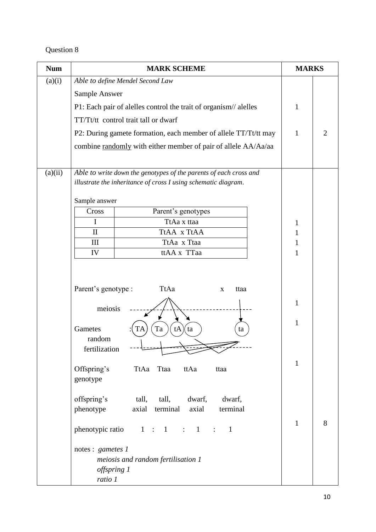| <b>Num</b> | <b>MARK SCHEME</b>                                                | <b>MARKS</b> |                |
|------------|-------------------------------------------------------------------|--------------|----------------|
| (a)(i)     | Able to define Mendel Second Law                                  |              |                |
|            | Sample Answer                                                     |              |                |
|            | P1: Each pair of alelles control the trait of organism// alelles  | 1            |                |
|            | TT/Tt/tt control trait tall or dwarf                              |              |                |
|            | P2: During gamete formation, each member of allele TT/Tt/tt may   | $\mathbf{1}$ | $\overline{2}$ |
|            | combine randomly with either member of pair of allele AA/Aa/aa    |              |                |
|            |                                                                   |              |                |
| (a)(ii)    | Able to write down the genotypes of the parents of each cross and |              |                |
|            | illustrate the inheritance of cross I using schematic diagram.    |              |                |
|            |                                                                   |              |                |
|            | Sample answer                                                     |              |                |
|            | Parent's genotypes<br>Cross                                       |              |                |
|            | I<br>TtAa x ttaa<br>$\mathbf{I}$<br>TtAA x TtAA                   | 1<br>1       |                |
|            | TtAa x Ttaa<br>III                                                | 1            |                |
|            | ttAA x TTaa<br>IV                                                 | $\mathbf{1}$ |                |
|            |                                                                   |              |                |
|            |                                                                   |              |                |
|            | Parent's genotype :<br>TtAa<br>ttaa<br>$\mathbf{X}$               |              |                |
|            |                                                                   | $\mathbf{1}$ |                |
|            | meiosis                                                           |              |                |
|            | Gametes<br>Ta<br>tA<br>ta<br>ta                                   | 1            |                |
|            | random                                                            |              |                |
|            | fertilization                                                     |              |                |
|            |                                                                   | $\mathbf{1}$ |                |
|            | Offspring's<br>Ttaa<br>ttAa<br>TtAa<br>ttaa<br>genotype           |              |                |
|            |                                                                   |              |                |
|            | offspring's<br>tall,<br>tall,<br>dwarf,<br>dwarf,                 |              |                |
|            | phenotype<br>terminal<br>axial<br>axial<br>terminal               |              |                |
|            |                                                                   | $\mathbf{1}$ | 8              |
|            | phenotypic ratio $1 : 1 : 1$<br>$\mathbf{1}$<br>$\sim$ 100 $\sim$ |              |                |
|            | notes : gametes 1                                                 |              |                |
|            | meiosis and random fertilisation 1                                |              |                |
|            | offspring 1                                                       |              |                |
|            | ratio 1                                                           |              |                |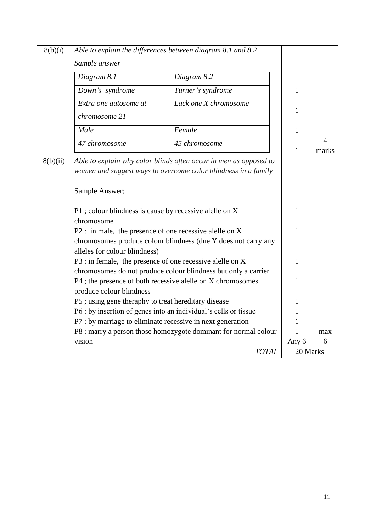| 8(b)(i)  | Able to explain the differences between diagram 8.1 and 8.2                                                                                               |                       |              |            |
|----------|-----------------------------------------------------------------------------------------------------------------------------------------------------------|-----------------------|--------------|------------|
|          | Sample answer                                                                                                                                             |                       |              |            |
|          | Diagram 8.1                                                                                                                                               | Diagram 8.2           |              |            |
|          | Down's syndrome                                                                                                                                           | Turner's syndrome     | 1            |            |
|          | Extra one autosome at                                                                                                                                     | Lack one X chromosome | $\mathbf{1}$ |            |
|          | chromosome 21                                                                                                                                             |                       |              |            |
|          | Male                                                                                                                                                      | Female                | $\mathbf{1}$ |            |
|          | 47 chromosome                                                                                                                                             | 45 chromosome         | $\mathbf{1}$ | 4<br>marks |
| 8(b)(ii) | Able to explain why color blinds often occur in men as opposed to<br>women and suggest ways to overcome color blindness in a family<br>Sample Answer;     |                       |              |            |
|          | P1 ; colour blindness is cause by recessive alelle on X                                                                                                   |                       |              |            |
|          | chromosome                                                                                                                                                |                       |              |            |
|          | $P2$ : in male, the presence of one recessive alelle on X<br>chromosomes produce colour blindness (due Y does not carry any                               |                       |              |            |
|          | alleles for colour blindness)                                                                                                                             |                       |              |            |
|          | P3 : in female, the presence of one recessive alelle on X                                                                                                 |                       | 1            |            |
|          | chromosomes do not produce colour blindness but only a carrier<br>P4 ; the presence of both recessive alelle on X chromosomes<br>produce colour blindness | 1                     |              |            |
|          | P5; using gene theraphy to treat hereditary disease                                                                                                       |                       | 1            |            |
|          | P6 : by insertion of genes into an individual's cells or tissue                                                                                           |                       |              |            |
|          | P7 : by marriage to eliminate recessive in next generation                                                                                                |                       |              |            |
|          | P8 : marry a person those homozygote dominant for normal colour                                                                                           |                       | 1            | max        |
|          | vision                                                                                                                                                    |                       | Any 6        | 6          |
|          |                                                                                                                                                           | <b>TOTAL</b>          | 20 Marks     |            |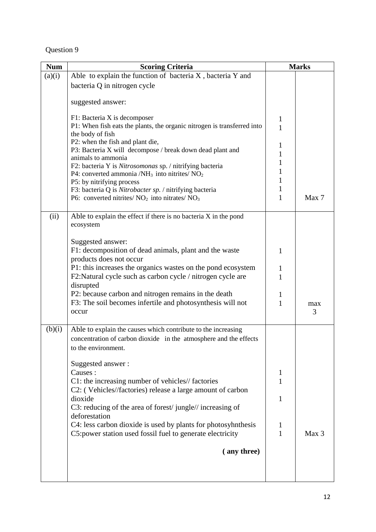| <b>Num</b> | <b>Scoring Criteria</b>                                                                                                                                                                                                                                                                                                                                                                                                                                                                                              | <b>Marks</b>                                         |          |
|------------|----------------------------------------------------------------------------------------------------------------------------------------------------------------------------------------------------------------------------------------------------------------------------------------------------------------------------------------------------------------------------------------------------------------------------------------------------------------------------------------------------------------------|------------------------------------------------------|----------|
| (a)(i)     | Able to explain the function of bacteria X, bacteria Y and                                                                                                                                                                                                                                                                                                                                                                                                                                                           |                                                      |          |
|            | bacteria Q in nitrogen cycle                                                                                                                                                                                                                                                                                                                                                                                                                                                                                         |                                                      |          |
|            | suggested answer:                                                                                                                                                                                                                                                                                                                                                                                                                                                                                                    |                                                      |          |
|            | F1: Bacteria X is decomposer<br>P1: When fish eats the plants, the organic nitrogen is transferred into<br>the body of fish<br>P2: when the fish and plant die,<br>P3: Bacteria X will decompose / break down dead plant and<br>animals to ammonia<br>F2: bacteria Y is Nitrosomonas sp. / nitrifying bacteria<br>P4: converted ammonia / $NH_3$ into nitrites/ $NO_2$<br>P5: by nitrifying process<br>F3: bacteria Q is Nitrobacter sp. / nitrifying bacteria<br>P6: converted nitrites/ $NO2$ into nitrates/ $NO3$ | 1<br>$\mathbf{1}$<br>1<br>1<br>1<br>1<br>1<br>1<br>1 | Max 7    |
| (ii)       | Able to explain the effect if there is no bacteria $X$ in the pond<br>ecosystem                                                                                                                                                                                                                                                                                                                                                                                                                                      |                                                      |          |
|            | Suggested answer:<br>F1: decomposition of dead animals, plant and the waste<br>products does not occur<br>P1: this increases the organics wastes on the pond ecosystem<br>F2: Natural cycle such as carbon cycle / nitrogen cycle are<br>disrupted<br>P2: because carbon and nitrogen remains in the death<br>F3: The soil becomes infertile and photosynthesis will not<br>occur                                                                                                                                    | 1<br>1<br>$\mathbf{1}$<br>1<br>1                     | max<br>3 |
| (b)(i)     | Able to explain the causes which contribute to the increasing<br>concentration of carbon dioxide in the atmosphere and the effects<br>to the environment.<br>Suggested answer:<br>Causes:<br>C1: the increasing number of vehicles// factories<br>C2: (Vehicles//factories) release a large amount of carbon<br>dioxide<br>C3: reducing of the area of forest/jungle//increasing of                                                                                                                                  | 1<br>1<br>1                                          |          |
|            | deforestation<br>C4: less carbon dioxide is used by plants for photosyhnthesis<br>C5: power station used fossil fuel to generate electricity                                                                                                                                                                                                                                                                                                                                                                         | 1<br>1                                               | Max 3    |
|            | (any three)                                                                                                                                                                                                                                                                                                                                                                                                                                                                                                          |                                                      |          |
|            |                                                                                                                                                                                                                                                                                                                                                                                                                                                                                                                      |                                                      |          |